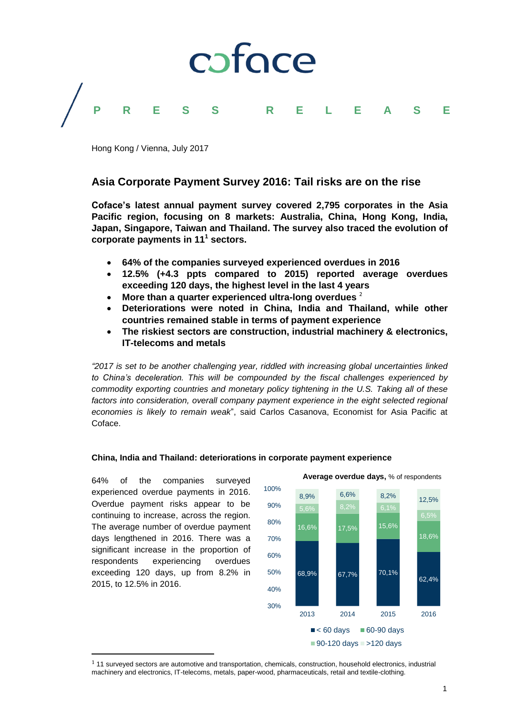

Hong Kong / Vienna, July 2017

# **Asia Corporate Payment Survey 2016: Tail risks are on the rise**

**Coface's latest annual payment survey covered 2,795 corporates in the Asia Pacific region, focusing on 8 markets: Australia, China, Hong Kong, India, Japan, Singapore, Taiwan and Thailand. The survey also traced the evolution of corporate payments in 11<sup>1</sup> sectors.**

- **64% of the companies surveyed experienced overdues in 2016**
- **12.5% (+4.3 ppts compared to 2015) reported average overdues exceeding 120 days, the highest level in the last 4 years**
- **More than a quarter experienced ultra-long overdues**<sup>2</sup>
- **Deteriorations were noted in China, India and Thailand, while other countries remained stable in terms of payment experience**
- **The riskiest sectors are construction, industrial machinery & electronics, IT-telecoms and metals**

*"2017 is set to be another challenging year, riddled with increasing global uncertainties linked to China's deceleration. This will be compounded by the fiscal challenges experienced by commodity exporting countries and monetary policy tightening in the U.S. Taking all of these factors into consideration, overall company payment experience in the eight selected regional economies is likely to remain weak*", said Carlos Casanova, Economist for Asia Pacific at Coface.

# **China, India and Thailand: deteriorations in corporate payment experience**

64% of the companies surveyed experienced overdue payments in 2016. Overdue payment risks appear to be continuing to increase, across the region. The average number of overdue payment days lengthened in 2016. There was a significant increase in the proportion of respondents experiencing overdues exceeding 120 days, up from 8.2% in 2015, to 12.5% in 2016.

 $\overline{\phantom{a}}$ 



<sup>1</sup> 11 surveyed sectors are automotive and transportation, chemicals, construction, household electronics, industrial machinery and electronics, IT-telecoms, metals, paper-wood, pharmaceuticals, retail and textile-clothing.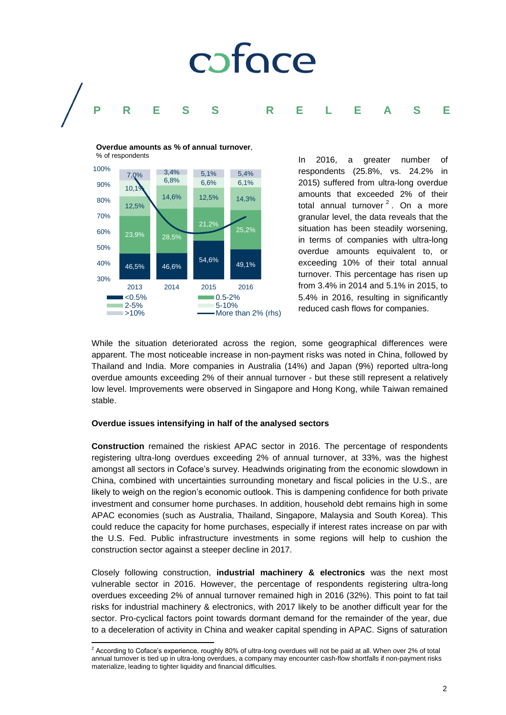

46,5% 46,6% 54,6% 49,1% 23,9% 28,5% 21,2% 25,2% 12,5% 14,6% 12,5% 14,3%  $10,1$ 6,8% 6,6% 6,1% 7,0% 3,4% 5,1% 5,4% 30% 40% 50% 60% 70% 80% 90% 100% 2013 2014 2015 2016  $\blacksquare$ <0.5% 0.5-2%  $\blacksquare$ 0.5-2% 0.5-10% 5-10%  $\blacktriangleright$ 10%  $\blacktriangleright$ More than 2% (rhs) % of respondents

**Overdue amounts as % of annual turnover**,

<span id="page-1-0"></span>In 2016, a greater number of respondents (25.8%, vs. 24.2% in 2015) suffered from ultra-long overdue amounts that exceeded 2% of their total annual turnover<sup>2</sup>. On a more granular level, the data reveals that the situation has been steadily worsening, in terms of companies with ultra-long overdue amounts equivalent to, or exceeding 10% of their total annual turnover. This percentage has risen up from 3.4% in 2014 and 5.1% in 2015, to 5.4% in 2016, resulting in significantly reduced cash flows for companies.

While the situation deteriorated across the region, some geographical differences were apparent. The most noticeable increase in non-payment risks was noted in China, followed by Thailand and India. More companies in Australia (14%) and Japan (9%) reported ultra-long overdue amounts exceeding 2% of their annual turnover - but these still represent a relatively low level. Improvements were observed in Singapore and Hong Kong, while Taiwan remained stable.

## **Overdue issues intensifying in half of the analysed sectors**

**Construction** remained the riskiest APAC sector in 2016. The percentage of respondents registering ultra-long overdues exceeding 2% of annual turnover, at 33%, was the highest amongst all sectors in Coface's survey. Headwinds originating from the economic slowdown in China, combined with uncertainties surrounding monetary and fiscal policies in the U.S., are likely to weigh on the region's economic outlook. This is dampening confidence for both private investment and consumer home purchases. In addition, household debt remains high in some APAC economies (such as Australia, Thailand, Singapore, Malaysia and South Korea). This could reduce the capacity for home purchases, especially if interest rates increase on par with the U.S. Fed. Public infrastructure investments in some regions will help to cushion the construction sector against a steeper decline in 2017.

Closely following construction, **industrial machinery & electronics** was the next most vulnerable sector in 2016. However, the percentage of respondents registering ultra-long overdues exceeding 2% of annual turnover remained high in 2016 (32%). This point to fat tail risks for industrial machinery & electronics, with 2017 likely to be another difficult year for the sector. Pro-cyclical factors point towards dormant demand for the remainder of the year, due to a deceleration of activity in China and weaker capital spending in APAC. Signs of saturation

l  $^2$  According to Coface's experience, roughly 80% of ultra-long overdues will not be paid at all. When over 2% of total annual turnover is tied up in ultra-long overdues, a company may encounter cash-flow shortfalls if non-payment risks materialize, leading to tighter liquidity and financial difficulties.